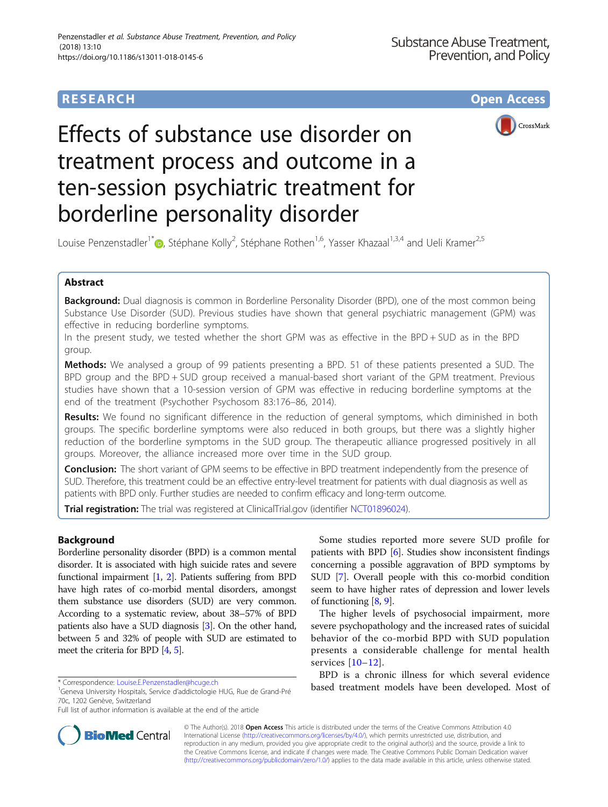# **RESEARCH CHE Open Access**

# Effects of substance use disorder on treatment process and outcome in a ten-session psychiatric treatment for borderline personality disorder



Louise Penzenstadler<sup>1[\\*](http://orcid.org/0000-0003-1379-0243)</sup> (D), Stéphane Kolly<sup>2</sup>, Stéphane Rothen<sup>1,6</sup>, Yasser Khazaal<sup>1,3,4</sup> and Ueli Kramer<sup>2,5</sup>

# Abstract

Background: Dual diagnosis is common in Borderline Personality Disorder (BPD), one of the most common being Substance Use Disorder (SUD). Previous studies have shown that general psychiatric management (GPM) was effective in reducing borderline symptoms.

In the present study, we tested whether the short GPM was as effective in the BPD + SUD as in the BPD group.

Methods: We analysed a group of 99 patients presenting a BPD. 51 of these patients presented a SUD. The BPD group and the BPD + SUD group received a manual-based short variant of the GPM treatment. Previous studies have shown that a 10-session version of GPM was effective in reducing borderline symptoms at the end of the treatment (Psychother Psychosom 83:176–86, 2014).

Results: We found no significant difference in the reduction of general symptoms, which diminished in both groups. The specific borderline symptoms were also reduced in both groups, but there was a slightly higher reduction of the borderline symptoms in the SUD group. The therapeutic alliance progressed positively in all groups. Moreover, the alliance increased more over time in the SUD group.

**Conclusion:** The short variant of GPM seems to be effective in BPD treatment independently from the presence of SUD. Therefore, this treatment could be an effective entry-level treatment for patients with dual diagnosis as well as patients with BPD only. Further studies are needed to confirm efficacy and long-term outcome.

Trial registration: The trial was registered at ClinicalTrial.gov (identifier [NCT01896024](https://clinicaltrials.gov/ct2/show/NCT01896024)).

# Background

Borderline personality disorder (BPD) is a common mental disorder. It is associated with high suicide rates and severe functional impairment [[1](#page-8-0), [2\]](#page-8-0). Patients suffering from BPD have high rates of co-morbid mental disorders, amongst them substance use disorders (SUD) are very common. According to a systematic review, about 38–57% of BPD patients also have a SUD diagnosis [\[3\]](#page-8-0). On the other hand, between 5 and 32% of people with SUD are estimated to meet the criteria for BPD [\[4,](#page-8-0) [5](#page-8-0)].

<sup>1</sup>Geneva University Hospitals, Service d'addictologie HUG, Rue de Grand-Pré 70c, 1202 Genève, Switzerland

Some studies reported more severe SUD profile for patients with BPD [\[6](#page-8-0)]. Studies show inconsistent findings concerning a possible aggravation of BPD symptoms by SUD [[7\]](#page-8-0). Overall people with this co-morbid condition seem to have higher rates of depression and lower levels of functioning [[8,](#page-9-0) [9](#page-9-0)].

The higher levels of psychosocial impairment, more severe psychopathology and the increased rates of suicidal behavior of the co-morbid BPD with SUD population presents a considerable challenge for mental health services [\[10](#page-9-0)–[12\]](#page-9-0).

BPD is a chronic illness for which several evidence based treatment models have been developed. Most of \* Correspondence: [Louise.E.Penzenstadler@hcuge.ch](mailto:Louise.E.Penzenstadler@hcuge.ch) <sup>1</sup>



© The Author(s). 2018 Open Access This article is distributed under the terms of the Creative Commons Attribution 4.0 International License [\(http://creativecommons.org/licenses/by/4.0/](http://creativecommons.org/licenses/by/4.0/)), which permits unrestricted use, distribution, and reproduction in any medium, provided you give appropriate credit to the original author(s) and the source, provide a link to the Creative Commons license, and indicate if changes were made. The Creative Commons Public Domain Dedication waiver [\(http://creativecommons.org/publicdomain/zero/1.0/](http://creativecommons.org/publicdomain/zero/1.0/)) applies to the data made available in this article, unless otherwise stated.

Full list of author information is available at the end of the article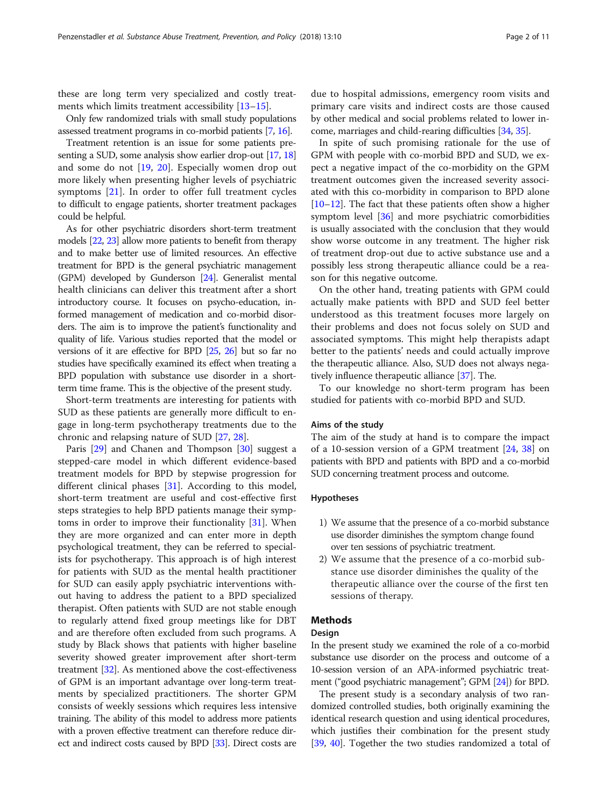these are long term very specialized and costly treat-ments which limits treatment accessibility [[13](#page-9-0)-[15\]](#page-9-0).

Only few randomized trials with small study populations assessed treatment programs in co-morbid patients [[7](#page-8-0), [16](#page-9-0)].

Treatment retention is an issue for some patients pre-senting a SUD, some analysis show earlier drop-out [\[17](#page-9-0), [18](#page-9-0)] and some do not [[19,](#page-9-0) [20](#page-9-0)]. Especially women drop out more likely when presenting higher levels of psychiatric symptoms [[21\]](#page-9-0). In order to offer full treatment cycles to difficult to engage patients, shorter treatment packages could be helpful.

As for other psychiatric disorders short-term treatment models [\[22,](#page-9-0) [23\]](#page-9-0) allow more patients to benefit from therapy and to make better use of limited resources. An effective treatment for BPD is the general psychiatric management (GPM) developed by Gunderson [\[24\]](#page-9-0). Generalist mental health clinicians can deliver this treatment after a short introductory course. It focuses on psycho-education, informed management of medication and co-morbid disorders. The aim is to improve the patient's functionality and quality of life. Various studies reported that the model or versions of it are effective for BPD [[25](#page-9-0), [26](#page-9-0)] but so far no studies have specifically examined its effect when treating a BPD population with substance use disorder in a shortterm time frame. This is the objective of the present study.

Short-term treatments are interesting for patients with SUD as these patients are generally more difficult to engage in long-term psychotherapy treatments due to the chronic and relapsing nature of SUD [[27,](#page-9-0) [28\]](#page-9-0).

Paris [[29\]](#page-9-0) and Chanen and Thompson [\[30\]](#page-9-0) suggest a stepped-care model in which different evidence-based treatment models for BPD by stepwise progression for different clinical phases  $[31]$  $[31]$ . According to this model, short-term treatment are useful and cost-effective first steps strategies to help BPD patients manage their symptoms in order to improve their functionality [[31\]](#page-9-0). When they are more organized and can enter more in depth psychological treatment, they can be referred to specialists for psychotherapy. This approach is of high interest for patients with SUD as the mental health practitioner for SUD can easily apply psychiatric interventions without having to address the patient to a BPD specialized therapist. Often patients with SUD are not stable enough to regularly attend fixed group meetings like for DBT and are therefore often excluded from such programs. A study by Black shows that patients with higher baseline severity showed greater improvement after short-term treatment [\[32\]](#page-9-0). As mentioned above the cost-effectiveness of GPM is an important advantage over long-term treatments by specialized practitioners. The shorter GPM consists of weekly sessions which requires less intensive training. The ability of this model to address more patients with a proven effective treatment can therefore reduce direct and indirect costs caused by BPD [[33](#page-9-0)]. Direct costs are

due to hospital admissions, emergency room visits and primary care visits and indirect costs are those caused by other medical and social problems related to lower income, marriages and child-rearing difficulties [\[34,](#page-9-0) [35\]](#page-9-0).

In spite of such promising rationale for the use of GPM with people with co-morbid BPD and SUD, we expect a negative impact of the co-morbidity on the GPM treatment outcomes given the increased severity associated with this co-morbidity in comparison to BPD alone [[10](#page-9-0)–[12](#page-9-0)]. The fact that these patients often show a higher symptom level [[36\]](#page-9-0) and more psychiatric comorbidities is usually associated with the conclusion that they would show worse outcome in any treatment. The higher risk of treatment drop-out due to active substance use and a possibly less strong therapeutic alliance could be a reason for this negative outcome.

On the other hand, treating patients with GPM could actually make patients with BPD and SUD feel better understood as this treatment focuses more largely on their problems and does not focus solely on SUD and associated symptoms. This might help therapists adapt better to the patients' needs and could actually improve the therapeutic alliance. Also, SUD does not always negatively influence therapeutic alliance [[37\]](#page-9-0). The.

To our knowledge no short-term program has been studied for patients with co-morbid BPD and SUD.

#### Aims of the study

The aim of the study at hand is to compare the impact of a 10-session version of a GPM treatment [[24,](#page-9-0) [38](#page-9-0)] on patients with BPD and patients with BPD and a co-morbid SUD concerning treatment process and outcome.

#### Hypotheses

- 1) We assume that the presence of a co-morbid substance use disorder diminishes the symptom change found over ten sessions of psychiatric treatment.
- 2) We assume that the presence of a co-morbid substance use disorder diminishes the quality of the therapeutic alliance over the course of the first ten sessions of therapy.

#### Methods

#### Design

In the present study we examined the role of a co-morbid substance use disorder on the process and outcome of a 10-session version of an APA-informed psychiatric treatment ("good psychiatric management"; GPM [\[24\]](#page-9-0)) for BPD.

The present study is a secondary analysis of two randomized controlled studies, both originally examining the identical research question and using identical procedures, which justifies their combination for the present study [[39](#page-9-0), [40](#page-9-0)]. Together the two studies randomized a total of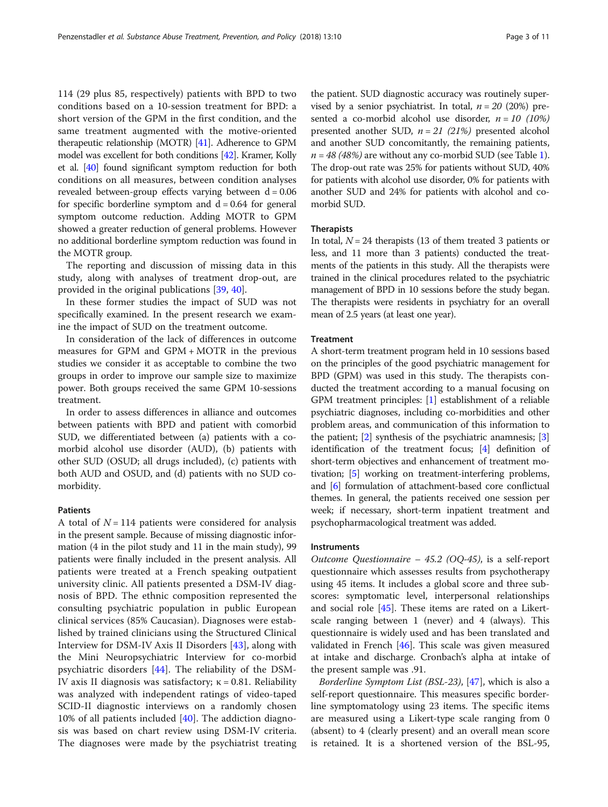114 (29 plus 85, respectively) patients with BPD to two conditions based on a 10-session treatment for BPD: a short version of the GPM in the first condition, and the same treatment augmented with the motive-oriented therapeutic relationship (MOTR) [\[41\]](#page-9-0). Adherence to GPM model was excellent for both conditions [\[42\]](#page-9-0). Kramer, Kolly et al. [\[40\]](#page-9-0) found significant symptom reduction for both conditions on all measures, between condition analyses revealed between-group effects varying between  $d = 0.06$ for specific borderline symptom and  $d = 0.64$  for general symptom outcome reduction. Adding MOTR to GPM showed a greater reduction of general problems. However no additional borderline symptom reduction was found in the MOTR group.

The reporting and discussion of missing data in this study, along with analyses of treatment drop-out, are provided in the original publications [[39,](#page-9-0) [40\]](#page-9-0).

In these former studies the impact of SUD was not specifically examined. In the present research we examine the impact of SUD on the treatment outcome.

In consideration of the lack of differences in outcome measures for GPM and GPM + MOTR in the previous studies we consider it as acceptable to combine the two groups in order to improve our sample size to maximize power. Both groups received the same GPM 10-sessions treatment.

In order to assess differences in alliance and outcomes between patients with BPD and patient with comorbid SUD, we differentiated between (a) patients with a comorbid alcohol use disorder (AUD), (b) patients with other SUD (OSUD; all drugs included), (c) patients with both AUD and OSUD, and (d) patients with no SUD comorbidity.

#### Patients

A total of  $N = 114$  patients were considered for analysis in the present sample. Because of missing diagnostic information (4 in the pilot study and 11 in the main study), 99 patients were finally included in the present analysis. All patients were treated at a French speaking outpatient university clinic. All patients presented a DSM-IV diagnosis of BPD. The ethnic composition represented the consulting psychiatric population in public European clinical services (85% Caucasian). Diagnoses were established by trained clinicians using the Structured Clinical Interview for DSM-IV Axis II Disorders [\[43\]](#page-9-0), along with the Mini Neuropsychiatric Interview for co-morbid psychiatric disorders [[44\]](#page-9-0). The reliability of the DSM-IV axis II diagnosis was satisfactory; κ = 0.81. Reliability was analyzed with independent ratings of video-taped SCID-II diagnostic interviews on a randomly chosen 10% of all patients included [[40\]](#page-9-0). The addiction diagnosis was based on chart review using DSM-IV criteria. The diagnoses were made by the psychiatrist treating

the patient. SUD diagnostic accuracy was routinely supervised by a senior psychiatrist. In total,  $n = 20$  (20%) presented a co-morbid alcohol use disorder,  $n = 10$  (10%) presented another SUD,  $n = 21$  (21%) presented alcohol and another SUD concomitantly, the remaining patients,  $n = 48$  (48%) are without any co-morbid SUD (see Table [1](#page-3-0)). The drop-out rate was 25% for patients without SUD, 40% for patients with alcohol use disorder, 0% for patients with another SUD and 24% for patients with alcohol and comorbid SUD.

#### **Therapists**

In total,  $N = 24$  therapists (13 of them treated 3 patients or less, and 11 more than 3 patients) conducted the treatments of the patients in this study. All the therapists were trained in the clinical procedures related to the psychiatric management of BPD in 10 sessions before the study began. The therapists were residents in psychiatry for an overall mean of 2.5 years (at least one year).

## **Treatment**

A short-term treatment program held in 10 sessions based on the principles of the good psychiatric management for BPD (GPM) was used in this study. The therapists conducted the treatment according to a manual focusing on GPM treatment principles: [\[1](#page-8-0)] establishment of a reliable psychiatric diagnoses, including co-morbidities and other problem areas, and communication of this information to the patient;  $\boxed{2}$  synthesis of the psychiatric anamnesis;  $\boxed{3}$  $\boxed{3}$  $\boxed{3}$ identification of the treatment focus; [[4](#page-8-0)] definition of short-term objectives and enhancement of treatment motivation; [[5\]](#page-8-0) working on treatment-interfering problems, and [\[6](#page-8-0)] formulation of attachment-based core conflictual themes. In general, the patients received one session per week; if necessary, short-term inpatient treatment and psychopharmacological treatment was added.

#### Instruments

Outcome Questionnaire – 45.2 (OQ-45), is a self-report questionnaire which assesses results from psychotherapy using 45 items. It includes a global score and three subscores: symptomatic level, interpersonal relationships and social role [\[45](#page-9-0)]. These items are rated on a Likertscale ranging between 1 (never) and 4 (always). This questionnaire is widely used and has been translated and validated in French  $[46]$  $[46]$ . This scale was given measured at intake and discharge. Cronbach's alpha at intake of the present sample was .91.

Borderline Symptom List (BSL-23), [\[47\]](#page-9-0), which is also a self-report questionnaire. This measures specific borderline symptomatology using 23 items. The specific items are measured using a Likert-type scale ranging from 0 (absent) to 4 (clearly present) and an overall mean score is retained. It is a shortened version of the BSL-95,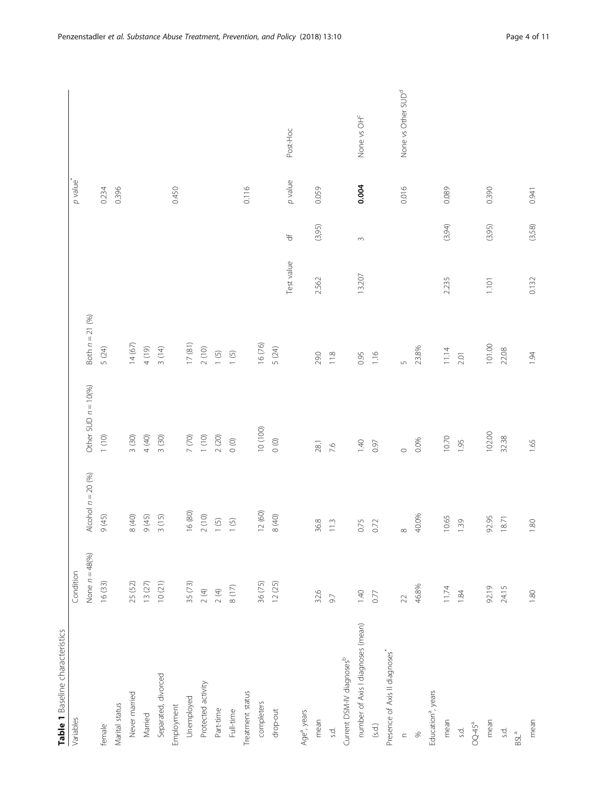<span id="page-3-0"></span>

| Table 1 Baseline characteristics  |                  |                        |                      |                    |            |                               |                      |                                |
|-----------------------------------|------------------|------------------------|----------------------|--------------------|------------|-------------------------------|----------------------|--------------------------------|
| Variables                         | Condition        |                        |                      |                    |            |                               | p value <sup>*</sup> |                                |
|                                   | None $n = 48(%)$ | Alcohol $n = 20$ $(%)$ | Other SUD $n = 10\%$ | Both $n = 21 (96)$ |            |                               |                      |                                |
| female                            | 16 (33)          | 9 (45)                 | 1(10)                | 5 (24)             |            |                               | 0.234                |                                |
| Marital status                    |                  |                        |                      |                    |            |                               | 0.396                |                                |
| Never married                     | 25 (52)          | 8 (40)                 | 3(30)                | 14(67)             |            |                               |                      |                                |
| Married                           | 13(27)           | 9 (45)                 | 4 (40)               | 4 (19)             |            |                               |                      |                                |
| Separated, divorced               | 10(21)           | 3(15)                  | 3(30)                | 3(14)              |            |                               |                      |                                |
| Employment                        |                  |                        |                      |                    |            |                               | 0.450                |                                |
| Unemployed                        | 35 (73)          | 16(80)                 | $7\ (70)$            | 17(81)             |            |                               |                      |                                |
| Protected activity                | 2(4)             | $2(10)$                | (100)                | $2(10)$            |            |                               |                      |                                |
| Part-time                         | 2(4)             | 1(5)                   | $2\ (20)$            | 1(5)               |            |                               |                      |                                |
| Full-time                         | $8(17)$          | 1(5)                   | $\circ$              | 1(5)               |            |                               |                      |                                |
| Treatment status                  |                  |                        |                      |                    |            |                               | 0.116                |                                |
| completers                        | 36 (75)          | 12(60)                 | 10(100)              | 16 (76)            |            |                               |                      |                                |
| drop-out                          | 12 (25)          | 8 (40)                 | $\circ$              | 5 (24)             |            |                               |                      |                                |
|                                   |                  |                        |                      |                    | Test value | $\overleftrightarrow{\sigma}$ | $\rho$ value         | Post-Hoc                       |
| Age <sup>a</sup> , years          |                  |                        |                      |                    |            |                               |                      |                                |
| mean                              | 32.6             | 36.8                   | 28.1                 | 29.0               | 2.562      | (3,95)                        | 0.059                |                                |
| s.d.                              | 9.7              | 11.3                   | 7.6                  | 11.8               |            |                               |                      |                                |
| Current DSM-IV diagnosesb         |                  |                        |                      |                    |            |                               |                      |                                |
| number of Axis I diagnoses (mean) | 1.40             | 0.75                   | 1.40                 | 0.95               | 13.207     | $\sim$                        | 0.004                | None vs OH <sup>c</sup>        |
| ${\rm (s.d)}$                     | 0.77             | 0.72                   | 0.97                 | 1.16               |            |                               |                      |                                |
| Presence of Axis II diagnoses     |                  |                        |                      |                    |            |                               |                      |                                |
| $\subset$                         | 22               | $\infty$               | $\circ$              | S                  |            |                               | 0.016                | None vs Other SUD <sup>d</sup> |
| $\%$                              | 46.8%            | 40.0%                  | 0.0%                 | 23.8%              |            |                               |                      |                                |
| Education <sup>9</sup> , years    |                  |                        |                      |                    |            |                               |                      |                                |
| mean                              | 11.74            | 10.65                  | 10.70                | $11.14$            | 2.235      | (3,94)                        | 0.089                |                                |
| s.d.                              | 1.84             | 1.39                   | 1.95                 | 2.01               |            |                               |                      |                                |
| $OQ-45^a$                         |                  |                        |                      |                    |            |                               |                      |                                |
| mean                              | 92.19            | 92.95                  | 102.00               | 101.00             | 1.101      | (3,95)                        | 0.390                |                                |
| s.d.                              | 24.15            | 18.71                  | 32.38                | 22.08              |            |                               |                      |                                |
| <b>BSL<sup>a</sup></b>            |                  |                        |                      |                    |            |                               |                      |                                |
| mean                              | 1.80             | 1.80                   | 1.65                 | 1.94               | 0.132      | (3,58)                        | 0.941                |                                |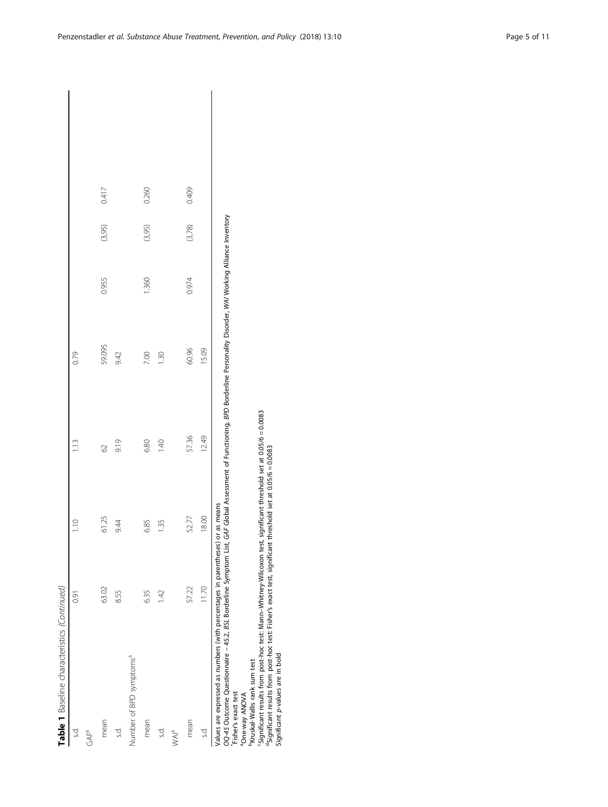| Table 1 Baseline characteristics (Continued)                                  |                |               |                 |              |       |        |       |
|-------------------------------------------------------------------------------|----------------|---------------|-----------------|--------------|-------|--------|-------|
| s.d                                                                           | 0.91           | $\frac{1}{1}$ | $\frac{13}{1}$  | 0.79         |       |        |       |
| GAF <sup>a</sup>                                                              |                |               |                 |              |       |        |       |
| mean                                                                          | 63.02          | 61.25<br>9.44 | 62              | 59.095       | 0.955 | (3,95) | 0.417 |
| s.d                                                                           | 8.55           |               | 9.19            | 9.42         |       |        |       |
| Number of BPD symptoms <sup>a</sup>                                           |                |               |                 |              |       |        |       |
| mean                                                                          | 6.35           | 6.85          | 6.80            | 7.00<br>1.30 | 1.360 | (3,95) | 0.260 |
| s.d.                                                                          | $\overline{4}$ | 1.35          | $\overline{40}$ |              |       |        |       |
| $WAA$ <sup>a</sup>                                                            |                |               |                 |              |       |        |       |
| mean                                                                          | 57.22          | 52.77         | 57.36           | 60.96        | 0.974 | (3,78) | 0.409 |
| s.                                                                            | 11.70          | 18.00         | 12.49           | 15.09        |       |        |       |
| Values are expressed as numbers (with percentages in parentheses) or as means |                |               |                 |              |       |        |       |

Values are expressed as numbers (with percentages in parentheses) or as means

Values are expressed as numbers (with percentages in parentheses) or as means<br>OQ-45 Outcome Questionnaire – 45.2, *BSL* Borderline Symptom List, *GAF* Global Assessment of Functioning, *BPD* Borderline Personality Disorder OQ-45 Outcome Questionnaire – 45.2, BSL Borderline Symptom List, GAF Global Assessment of Functioning, BPD Borderline Personality Disorder, WAI Working Alliance Inventory

\*Fisher's exact test

aOne-way ANOVA

bKruskal-Wallis rank sum test

cSignificant results from post-hoc test: Mann–Whitney-Wilcoxon test, significant threshold set at 0.05/6 = 0.0083

 $^{\sf d}$ Significant results from post-hoc test: Fisher's exact test, significant threshold set at 0.05/6 = 0.0083 Significant p-values are in bold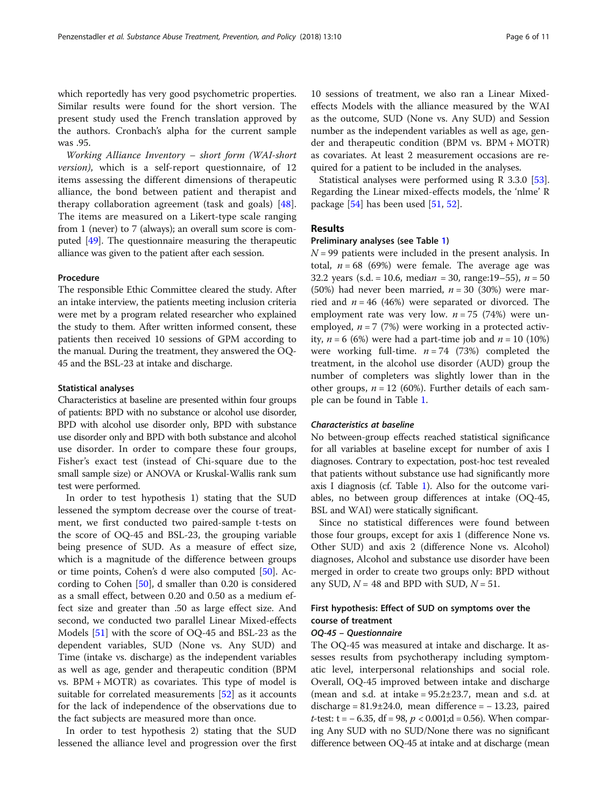which reportedly has very good psychometric properties. Similar results were found for the short version. The present study used the French translation approved by the authors. Cronbach's alpha for the current sample was .95.

Working Alliance Inventory – short form (WAI-short version), which is a self-report questionnaire, of 12 items assessing the different dimensions of therapeutic alliance, the bond between patient and therapist and therapy collaboration agreement (task and goals) [\[48](#page-9-0)]. The items are measured on a Likert-type scale ranging from 1 (never) to 7 (always); an overall sum score is computed [[49](#page-9-0)]. The questionnaire measuring the therapeutic alliance was given to the patient after each session.

#### Procedure

The responsible Ethic Committee cleared the study. After an intake interview, the patients meeting inclusion criteria were met by a program related researcher who explained the study to them. After written informed consent, these patients then received 10 sessions of GPM according to the manual. During the treatment, they answered the OQ-45 and the BSL-23 at intake and discharge.

#### Statistical analyses

Characteristics at baseline are presented within four groups of patients: BPD with no substance or alcohol use disorder, BPD with alcohol use disorder only, BPD with substance use disorder only and BPD with both substance and alcohol use disorder. In order to compare these four groups, Fisher's exact test (instead of Chi-square due to the small sample size) or ANOVA or Kruskal-Wallis rank sum test were performed.

In order to test hypothesis 1) stating that the SUD lessened the symptom decrease over the course of treatment, we first conducted two paired-sample t-tests on the score of OQ-45 and BSL-23, the grouping variable being presence of SUD. As a measure of effect size, which is a magnitude of the difference between groups or time points, Cohen's d were also computed [\[50\]](#page-9-0). According to Cohen [[50\]](#page-9-0), d smaller than 0.20 is considered as a small effect, between 0.20 and 0.50 as a medium effect size and greater than .50 as large effect size. And second, we conducted two parallel Linear Mixed-effects Models [\[51](#page-9-0)] with the score of OQ-45 and BSL-23 as the dependent variables, SUD (None vs. Any SUD) and Time (intake vs. discharge) as the independent variables as well as age, gender and therapeutic condition (BPM vs. BPM + MOTR) as covariates. This type of model is suitable for correlated measurements [\[52\]](#page-9-0) as it accounts for the lack of independence of the observations due to the fact subjects are measured more than once.

In order to test hypothesis 2) stating that the SUD lessened the alliance level and progression over the first

10 sessions of treatment, we also ran a Linear Mixedeffects Models with the alliance measured by the WAI as the outcome, SUD (None vs. Any SUD) and Session number as the independent variables as well as age, gender and therapeutic condition (BPM vs. BPM + MOTR) as covariates. At least 2 measurement occasions are required for a patient to be included in the analyses.

Statistical analyses were performed using R 3.3.0 [\[53](#page-9-0)]. Regarding the Linear mixed-effects models, the 'nlme' R package [\[54](#page-9-0)] has been used [[51,](#page-9-0) [52\]](#page-9-0).

## Results

## Preliminary analyses (see Table [1](#page-3-0))

 $N = 99$  patients were included in the present analysis. In total,  $n = 68$  (69%) were female. The average age was 32.2 years (s.d. = 10.6, media $n = 30$ , range:19-55),  $n = 50$ (50%) had never been married,  $n = 30$  (30%) were married and  $n = 46$  (46%) were separated or divorced. The employment rate was very low.  $n = 75$  (74%) were unemployed,  $n = 7$  (7%) were working in a protected activity,  $n = 6$  (6%) were had a part-time job and  $n = 10$  (10%) were working full-time.  $n = 74$  (73%) completed the treatment, in the alcohol use disorder (AUD) group the number of completers was slightly lower than in the other groups,  $n = 12$  (60%). Further details of each sample can be found in Table [1](#page-3-0).

#### Characteristics at baseline

No between-group effects reached statistical significance for all variables at baseline except for number of axis I diagnoses. Contrary to expectation, post-hoc test revealed that patients without substance use had significantly more axis I diagnosis (cf. Table [1](#page-3-0)). Also for the outcome variables, no between group differences at intake (OQ-45, BSL and WAI) were statically significant.

Since no statistical differences were found between those four groups, except for axis 1 (difference None vs. Other SUD) and axis 2 (difference None vs. Alcohol) diagnoses, Alcohol and substance use disorder have been merged in order to create two groups only: BPD without any SUD,  $N = 48$  and BPD with SUD,  $N = 51$ .

# First hypothesis: Effect of SUD on symptoms over the course of treatment

# OQ-45 – Questionnaire

The OQ-45 was measured at intake and discharge. It assesses results from psychotherapy including symptomatic level, interpersonal relationships and social role. Overall, OQ-45 improved between intake and discharge (mean and s.d. at intake =  $95.2 \pm 23.7$ , mean and s.d. at discharge =  $81.9 \pm 24.0$ , mean difference =  $- 13.23$ , paired t-test: t =  $-6.35$ , df = 98,  $p < 0.001$ ;d = 0.56). When comparing Any SUD with no SUD/None there was no significant difference between OQ-45 at intake and at discharge (mean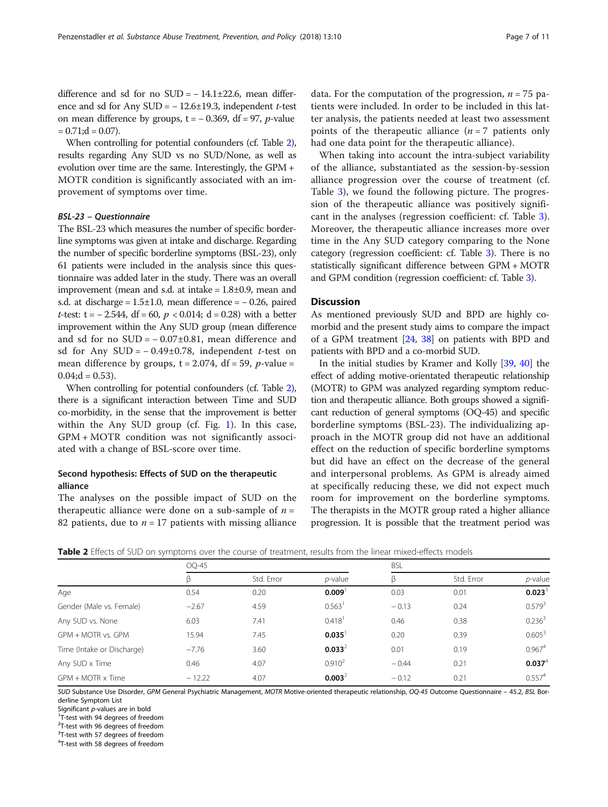difference and sd for no  $SUB = -14.1 \pm 22.6$ , mean difference and sd for Any  $SUB = -12.6 \pm 19.3$ , independent t-test on mean difference by groups,  $t = -0.369$ , df = 97, p-value  $= 0.71; d = 0.07$ ).

When controlling for potential confounders (cf. Table 2), results regarding Any SUD vs no SUD/None, as well as evolution over time are the same. Interestingly, the GPM + MOTR condition is significantly associated with an improvement of symptoms over time.

### BSL-23 – Questionnaire

The BSL-23 which measures the number of specific borderline symptoms was given at intake and discharge. Regarding the number of specific borderline symptoms (BSL-23), only 61 patients were included in the analysis since this questionnaire was added later in the study. There was an overall improvement (mean and s.d. at intake = 1.8±0.9, mean and s.d. at discharge =  $1.5\pm1.0$ , mean difference =  $-0.26$ , paired t-test: t =  $-$  2.544, df = 60, p < 0.014; d = 0.28) with a better improvement within the Any SUD group (mean difference and sd for no  $SUB = -0.07 \pm 0.81$ , mean difference and sd for Any  $SUB = -0.49 \pm 0.78$ , independent t-test on mean difference by groups,  $t = 2.074$ ,  $df = 59$ , *p*-value =  $0.04; d = 0.53$ ).

When controlling for potential confounders (cf. Table 2), there is a significant interaction between Time and SUD co-morbidity, in the sense that the improvement is better within the Any SUD group (cf. Fig. [1](#page-7-0)). In this case, GPM + MOTR condition was not significantly associated with a change of BSL-score over time.

# Second hypothesis: Effects of SUD on the therapeutic alliance

The analyses on the possible impact of SUD on the therapeutic alliance were done on a sub-sample of  $n =$ 82 patients, due to  $n = 17$  patients with missing alliance data. For the computation of the progression,  $n = 75$  patients were included. In order to be included in this latter analysis, the patients needed at least two assessment points of the therapeutic alliance  $(n = 7)$  patients only had one data point for the therapeutic alliance).

When taking into account the intra-subject variability of the alliance, substantiated as the session-by-session alliance progression over the course of treatment (cf. Table [3](#page-7-0)), we found the following picture. The progression of the therapeutic alliance was positively significant in the analyses (regression coefficient: cf. Table [3](#page-7-0)). Moreover, the therapeutic alliance increases more over time in the Any SUD category comparing to the None category (regression coefficient: cf. Table [3](#page-7-0)). There is no statistically significant difference between GPM + MOTR and GPM condition (regression coefficient: cf. Table [3](#page-7-0)).

### **Discussion**

As mentioned previously SUD and BPD are highly comorbid and the present study aims to compare the impact of a GPM treatment [\[24,](#page-9-0) [38](#page-9-0)] on patients with BPD and patients with BPD and a co-morbid SUD.

In the initial studies by Kramer and Kolly [[39](#page-9-0), [40](#page-9-0)] the effect of adding motive-orientated therapeutic relationship (MOTR) to GPM was analyzed regarding symptom reduction and therapeutic alliance. Both groups showed a significant reduction of general symptoms (OQ-45) and specific borderline symptoms (BSL-23). The individualizing approach in the MOTR group did not have an additional effect on the reduction of specific borderline symptoms but did have an effect on the decrease of the general and interpersonal problems. As GPM is already aimed at specifically reducing these, we did not expect much room for improvement on the borderline symptoms. The therapists in the MOTR group rated a higher alliance progression. It is possible that the treatment period was

|  |  | Table 2 Effects of SUD on symptoms over the course of treatment, results from the linear mixed-effects models |
|--|--|---------------------------------------------------------------------------------------------------------------|
|--|--|---------------------------------------------------------------------------------------------------------------|

|                            | OQ-45    |            |                      | <b>BSL</b> |            |                    |
|----------------------------|----------|------------|----------------------|------------|------------|--------------------|
|                            |          | Std. Error | $p$ -value           |            | Std. Error | $p$ -value         |
| Age                        | 0.54     | 0.20       | 0.009                | 0.03       | 0.01       | $0.023^3$          |
| Gender (Male vs. Female)   | $-2.67$  | 4.59       | 0.563                | $-0.13$    | 0.24       | $0.579^{3}$        |
| Any SUD vs. None           | 6.03     | 7.41       | $0.418$ <sup>1</sup> | 0.46       | 0.38       | 0.236 <sup>3</sup> |
| GPM + MOTR vs. GPM         | 15.94    | 7.45       | $0.035^1$            | 0.20       | 0.39       | 0.605 <sup>3</sup> |
| Time (Intake or Discharge) | $-7.76$  | 3.60       | $0.033^2$            | 0.01       | 0.19       | 0.967 <sup>4</sup> |
| Any SUD x Time             | 0.46     | 4.07       | 0.910 <sup>2</sup>   | $-0.44$    | 0.21       | $0.037^{4}$        |
| $GPM + MOTR \times Time$   | $-12.22$ | 4.07       | 0.003 <sup>2</sup>   | $-0.12$    | 0.21       | 0.557 <sup>4</sup> |
|                            |          |            |                      |            |            |                    |

SUD Substance Use Disorder, GPM General Psychiatric Management, MOTR Motive-oriented therapeutic relationship, OQ-45 Outcome Questionnaire – 45.2, BSL Borderline Symptom List

Significant  $p$ -values are in bold

<sup>1</sup>T-test with 94 degrees of freedom

<sup>2</sup>T-test with 96 degrees of freedom

<sup>3</sup>T-test with 57 degrees of freedom

<sup>4</sup>T-test with 58 degrees of freedom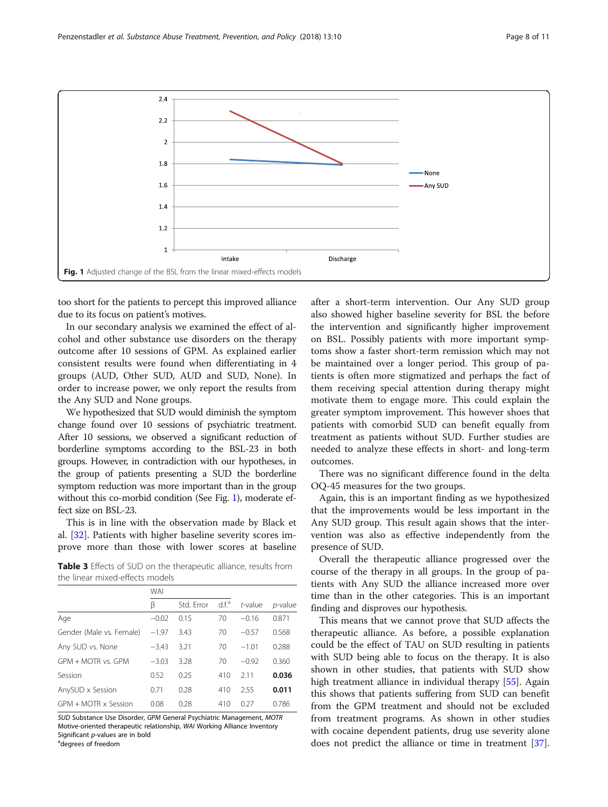<span id="page-7-0"></span>

too short for the patients to percept this improved alliance due to its focus on patient's motives.

In our secondary analysis we examined the effect of alcohol and other substance use disorders on the therapy outcome after 10 sessions of GPM. As explained earlier consistent results were found when differentiating in 4 groups (AUD, Other SUD, AUD and SUD, None). In order to increase power, we only report the results from the Any SUD and None groups.

We hypothesized that SUD would diminish the symptom change found over 10 sessions of psychiatric treatment. After 10 sessions, we observed a significant reduction of borderline symptoms according to the BSL-23 in both groups. However, in contradiction with our hypotheses, in the group of patients presenting a SUD the borderline symptom reduction was more important than in the group without this co-morbid condition (See Fig. 1), moderate effect size on BSL-23.

This is in line with the observation made by Black et al. [\[32](#page-9-0)]. Patients with higher baseline severity scores improve more than those with lower scores at baseline

Table 3 Effects of SUD on the therapeutic alliance, results from the linear mixed-effects models

|                          | <b>WAI</b> |            |                 |            |                 |
|--------------------------|------------|------------|-----------------|------------|-----------------|
|                          | β          | Std. Error | df <sup>a</sup> | $t$ -value | <i>p</i> -value |
| Age                      | $-0.02$    | 0.15       | 70              | $-0.16$    | 0.871           |
| Gender (Male vs. Female) | $-1.97$    | 3.43       | 70              | $-0.57$    | 0.568           |
| Any SUD vs. None         | $-3.43$    | 3.21       | 70              | $-1.01$    | 0.288           |
| GPM + MOTR vs. GPM       | $-3.03$    | 3.28       | 70              | $-0.92$    | 0.360           |
| Session                  | 0.52       | 0.25       | 410             | 2.11       | 0.036           |
| AnySUD x Session         | 0.71       | 0.28       | 410             | 2.55       | 0.011           |
| GPM + MOTR x Session     | 0.08       | 0.28       | 410             | 0.27       | 0.786           |

SUD Substance Use Disorder, GPM General Psychiatric Management, MOTR Motive-oriented therapeutic relationship, WAI Working Alliance Inventory Significant *p*-values are in bold

degrees of freedom

after a short-term intervention. Our Any SUD group also showed higher baseline severity for BSL the before the intervention and significantly higher improvement on BSL. Possibly patients with more important symptoms show a faster short-term remission which may not be maintained over a longer period. This group of patients is often more stigmatized and perhaps the fact of them receiving special attention during therapy might motivate them to engage more. This could explain the greater symptom improvement. This however shoes that patients with comorbid SUD can benefit equally from treatment as patients without SUD. Further studies are needed to analyze these effects in short- and long-term outcomes.

There was no significant difference found in the delta OQ-45 measures for the two groups.

Again, this is an important finding as we hypothesized that the improvements would be less important in the Any SUD group. This result again shows that the intervention was also as effective independently from the presence of SUD.

Overall the therapeutic alliance progressed over the course of the therapy in all groups. In the group of patients with Any SUD the alliance increased more over time than in the other categories. This is an important finding and disproves our hypothesis.

This means that we cannot prove that SUD affects the therapeutic alliance. As before, a possible explanation could be the effect of TAU on SUD resulting in patients with SUD being able to focus on the therapy. It is also shown in other studies, that patients with SUD show high treatment alliance in individual therapy [[55\]](#page-10-0). Again this shows that patients suffering from SUD can benefit from the GPM treatment and should not be excluded from treatment programs. As shown in other studies with cocaine dependent patients, drug use severity alone does not predict the alliance or time in treatment [\[37](#page-9-0)].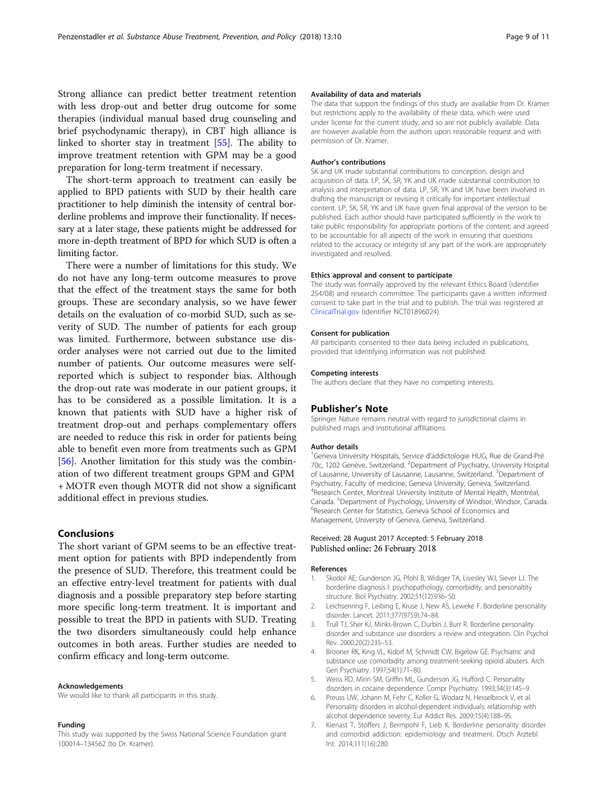<span id="page-8-0"></span>Strong alliance can predict better treatment retention with less drop-out and better drug outcome for some therapies (individual manual based drug counseling and brief psychodynamic therapy), in CBT high alliance is linked to shorter stay in treatment [[55\]](#page-10-0). The ability to improve treatment retention with GPM may be a good preparation for long-term treatment if necessary.

The short-term approach to treatment can easily be applied to BPD patients with SUD by their health care practitioner to help diminish the intensity of central borderline problems and improve their functionality. If necessary at a later stage, these patients might be addressed for more in-depth treatment of BPD for which SUD is often a limiting factor.

There were a number of limitations for this study. We do not have any long-term outcome measures to prove that the effect of the treatment stays the same for both groups. These are secondary analysis, so we have fewer details on the evaluation of co-morbid SUD, such as severity of SUD. The number of patients for each group was limited. Furthermore, between substance use disorder analyses were not carried out due to the limited number of patients. Our outcome measures were selfreported which is subject to responder bias. Although the drop-out rate was moderate in our patient groups, it has to be considered as a possible limitation. It is a known that patients with SUD have a higher risk of treatment drop-out and perhaps complementary offers are needed to reduce this risk in order for patients being able to benefit even more from treatments such as GPM [[56\]](#page-10-0). Another limitation for this study was the combination of two different treatment groups GPM and GPM + MOTR even though MOTR did not show a significant additional effect in previous studies.

# Conclusions

The short variant of GPM seems to be an effective treatment option for patients with BPD independently from the presence of SUD. Therefore, this treatment could be an effective entry-level treatment for patients with dual diagnosis and a possible preparatory step before starting more specific long-term treatment. It is important and possible to treat the BPD in patients with SUD. Treating the two disorders simultaneously could help enhance outcomes in both areas. Further studies are needed to confirm efficacy and long-term outcome.

#### Acknowledgements

We would like to thank all participants in this study.

#### Funding

This study was supported by the Swiss National Science Foundation grant 100014–134562 (to Dr. Kramer).

#### Availability of data and materials

The data that support the findings of this study are available from Dr. Kramer but restrictions apply to the availability of these data, which were used under license for the current study, and so are not publicly available. Data are however available from the authors upon reasonable request and with permission of Dr. Kramer.

#### Author's contributions

SK and UK made substantial contributions to conception, design and acquisition of data. LP, SK, SR, YK and UK made substantial contribution to analysis and interpretation of data. LP, SR, YK and UK have been involved in drafting the manuscript or revising it critically for important intellectual content. LP, SK, SR, YK and UK have given final approval of the version to be published. Each author should have participated sufficiently in the work to take public responsibility for appropriate portions of the content; and agreed to be accountable for all aspects of the work in ensuring that questions related to the accuracy or integrity of any part of the work are appropriately investigated and resolved.

### Ethics approval and consent to participate

The study was formally approved by the relevant Ethics Board (identifier 254/08) and research committee. The participants gave a written informed consent to take part in the trial and to publish. The trial was registered at [ClinicalTrial.gov](http://clinicaltrial.gov) (identifier NCT01896024).

#### Consent for publication

All participants consented to their data being included in publications, provided that identifying information was not published.

#### Competing interests

The authors declare that they have no competing interests.

#### Publisher's Note

Springer Nature remains neutral with regard to jurisdictional claims in published maps and institutional affiliations.

#### Author details

<sup>1</sup>Geneva University Hospitals, Service d'addictologie HUG, Rue de Grand-Pré 70c, 1202 Genève, Switzerland. <sup>2</sup>Department of Psychiatry, University Hospital of Lausanne, University of Lausanne, Lausanne, Switzerland. <sup>3</sup>Department of Psychiatry, Faculty of medicine, Geneva University, Geneva, Switzerland. 4 Research Center, Montreal University Institute of Mental Health, Montréal, Canada. <sup>5</sup> Department of Psychology, University of Windsor, Windsor, Canada. 5 Peace of Psychology, University of Proposition Canada. <sup>6</sup>Research Center for Statistics, Geneva School of Economics and Management, University of Geneva, Geneva, Switzerland.

## Received: 28 August 2017 Accepted: 5 February 2018 Published online: 26 February 2018

#### References

- Skodol AE, Gunderson JG, Pfohl B, Widiger TA, Livesley WJ, Siever LJ. The borderline diagnosis I: psychopathology, comorbidity, and personaltity structure. Biol Psychiatry. 2002;51(12):936–50.
- 2. Leichsenring F, Leibing E, Kruse J, New AS, Leweke F. Borderline personality disorder. Lancet. 2011;377(9759):74–84.
- 3. Trull TJ, Sher KJ, Minks-Brown C, Durbin J, Burr R. Borderline personality disorder and substance use disorders: a review and integration. Clin Psychol Rev. 2000;20(2):235–53.
- 4. Brooner RK, King VL, Kidorf M, Schmidt CW, Bigelow GE. Psychiatric and substance use comorbidity among treatment-seeking opioid abusers. Arch Gen Psychiatry. 1997;54(1):71–80.
- 5. Weiss RD, Mirin SM, Griffin ML, Gunderson JG, Hufford C. Personality disorders in cocaine dependence. Compr Psychiatry. 1993;34(3):145–9.
- 6. Preuss UW, Johann M, Fehr C, Koller G, Wodarz N, Hesselbrock V, et al. Personality disorders in alcohol-dependent individuals: relationship with alcohol dependence severity. Eur Addict Res. 2009;15(4):188–95.
- Kienast T, Stoffers J, Bermpohl F, Lieb K. Borderline personality disorder and comorbid addiction: epidemiology and treatment. Dtsch Arztebl Int. 2014;111(16):280.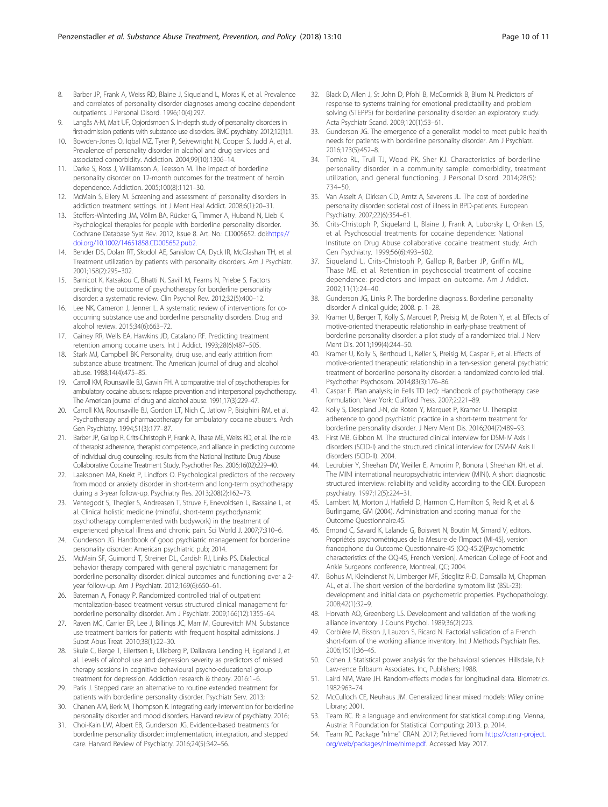- <span id="page-9-0"></span>8. Barber JP, Frank A, Weiss RD, Blaine J, Siqueland L, Moras K, et al. Prevalence and correlates of personality disorder diagnoses among cocaine dependent outpatients. J Personal Disord. 1996;10(4):297.
- Langås A-M, Malt UF, Opjordsmoen S. In-depth study of personality disorders in first-admission patients with substance use disorders. BMC psychiatry. 2012;12(1):1.
- 10. Bowden-Jones O, Iqbal MZ, Tyrer P, Seivewright N, Cooper S, Judd A, et al. Prevalence of personality disorder in alcohol and drug services and associated comorbidity. Addiction. 2004;99(10):1306–14.
- 11. Darke S, Ross J, Williamson A, Teesson M. The impact of borderline personality disorder on 12-month outcomes for the treatment of heroin dependence. Addiction. 2005;100(8):1121–30.
- 12. McMain S, Ellery M. Screening and assessment of personality disorders in addiction treatment settings. Int J Ment Heal Addict. 2008;6(1):20–31.
- 13. Stoffers-Winterling JM, Völlm BA, Rücker G, Timmer A, Huband N, Lieb K. Psychological therapies for people with borderline personality disorder. Cochrane Database Syst Rev. 2012, Issue 8. Art. No.: CD005652. doi:[https://](https://doi.org/10.1002/14651858.CD005652.pub2) [doi.org/10.1002/14651858.CD005652.pub2.](https://doi.org/10.1002/14651858.CD005652.pub2)
- 14. Bender DS, Dolan RT, Skodol AE, Sanislow CA, Dyck IR, McGlashan TH, et al. Treatment utilization by patients with personality disorders. Am J Psychiatr. 2001;158(2):295–302.
- 15. Barnicot K, Katsakou C, Bhatti N, Savill M, Fearns N, Priebe S. Factors predicting the outcome of psychotherapy for borderline personality disorder: a systematic review. Clin Psychol Rev. 2012;32(5):400–12.
- 16. Lee NK, Cameron J, Jenner L. A systematic review of interventions for cooccurring substance use and borderline personality disorders. Drug and alcohol review. 2015;34(6):663–72.
- 17. Gainey RR, Wells EA, Hawkins JD, Catalano RF. Predicting treatment retention among cocaine users. Int J Addict. 1993;28(6):487–505.
- 18. Stark MJ, Campbell BK. Personality, drug use, and early attrition from substance abuse treatment. The American journal of drug and alcohol abuse. 1988;14(4):475–85.
- 19. Carroll KM, Rounsaville BJ, Gawin FH. A comparative trial of psychotherapies for ambulatory cocaine abusers: relapse prevention and interpersonal psychotherapy. The American journal of drug and alcohol abuse. 1991;17(3):229–47.
- 20. Carroll KM, Rounsaville BJ, Gordon LT, Nich C, Jatlow P, Bisighini RM, et al. Psychotherapy and pharmacotherapy for ambulatory cocaine abusers. Arch Gen Psychiatry. 1994;51(3):177–87.
- 21. Barber JP, Gallop R, Crits-Christoph P, Frank A, Thase ME, Weiss RD, et al. The role of therapist adherence, therapist competence, and alliance in predicting outcome of individual drug counseling: results from the National Institute Drug Abuse Collaborative Cocaine Treatment Study. Psychother Res. 2006;16(02):229–40.
- 22. Laaksonen MA, Knekt P, Lindfors O. Psychological predictors of the recovery from mood or anxiety disorder in short-term and long-term psychotherapy during a 3-year follow-up. Psychiatry Res. 2013;208(2):162–73.
- 23. Ventegodt S, Thegler S, Andreasen T, Struve F, Enevoldsen L, Bassaine L, et al. Clinical holistic medicine (mindful, short-term psychodynamic psychotherapy complemented with bodywork) in the treatment of experienced physical illness and chronic pain. Sci World J. 2007;7:310–6.
- 24. Gunderson JG. Handbook of good psychiatric management for borderline personality disorder: American psychiatric pub; 2014.
- 25. McMain SF, Guimond T, Streiner DL, Cardish RJ, Links PS. Dialectical behavior therapy compared with general psychiatric management for borderline personality disorder: clinical outcomes and functioning over a 2 year follow-up. Am J Psychiatr. 2012;169(6):650–61.
- 26. Bateman A, Fonagy P. Randomized controlled trial of outpatient mentalization-based treatment versus structured clinical management for borderline personality disorder. Am J Psychiatr. 2009;166(12):1355–64.
- 27. Raven MC, Carrier ER, Lee J, Billings JC, Marr M, Gourevitch MN. Substance use treatment barriers for patients with frequent hospital admissions. J Subst Abus Treat. 2010;38(1):22–30.
- 28. Skule C, Berge T, Eilertsen E, Ulleberg P, Dallavara Lending H, Egeland J, et al. Levels of alcohol use and depression severity as predictors of missed therapy sessions in cognitive behavioural psycho-educational group treatment for depression. Addiction research & theory. 2016:1–6.
- 29. Paris J. Stepped care: an alternative to routine extended treatment for patients with borderline personality disorder. Psychiatr Serv. 2013;
- 30. Chanen AM, Berk M, Thompson K. Integrating early intervention for borderline personality disorder and mood disorders. Harvard review of psychiatry. 2016;
- 31. Choi-Kain LW, Albert EB, Gunderson JG. Evidence-based treatments for borderline personality disorder: implementation, integration, and stepped care. Harvard Review of Psychiatry. 2016;24(5):342–56.
- 32. Black D, Allen J, St John D, Pfohl B, McCormick B, Blum N. Predictors of response to systems training for emotional predictability and problem solving (STEPPS) for borderline personality disorder: an exploratory study. Acta Psychiatr Scand. 2009;120(1):53–61.
- 33. Gunderson JG. The emergence of a generalist model to meet public health needs for patients with borderline personality disorder. Am J Psychiatr. 2016;173(5):452–8.
- 34. Tomko RL, Trull TJ, Wood PK, Sher KJ. Characteristics of borderline personality disorder in a community sample: comorbidity, treatment utilization, and general functioning. J Personal Disord. 2014;28(5): 734–50.
- 35. Van Asselt A, Dirksen CD, Arntz A, Severens JL. The cost of borderline personality disorder: societal cost of illness in BPD-patients. European Psychiatry. 2007;22(6):354–61.
- 36. Crits-Christoph P, Siqueland L, Blaine J, Frank A, Luborsky L, Onken LS, et al. Psychosocial treatments for cocaine dependence: National Institute on Drug Abuse collaborative cocaine treatment study. Arch Gen Psychiatry. 1999;56(6):493–502.
- 37. Siqueland L, Crits-Christoph P, Gallop R, Barber JP, Griffin ML, Thase ME, et al. Retention in psychosocial treatment of cocaine dependence: predictors and impact on outcome. Am J Addict. 2002;11(1):24–40.
- 38. Gunderson JG, Links P. The borderline diagnosis. Borderline personality disorder A clinical guide; 2008. p. 1–28.
- 39. Kramer U, Berger T, Kolly S, Marquet P, Preisig M, de Roten Y, et al. Effects of motive-oriented therapeutic relationship in early-phase treatment of borderline personality disorder: a pilot study of a randomized trial. J Nerv Ment Dis. 2011;199(4):244–50.
- 40. Kramer U, Kolly S, Berthoud L, Keller S, Preisig M, Caspar F, et al. Effects of motive-oriented therapeutic relationship in a ten-session general psychiatric treatment of borderline personality disorder: a randomized controlled trial. Psychother Psychosom. 2014;83(3):176–86.
- 41. Caspar F. Plan analysis; in Eells TD (ed): Handbook of psychotherapy case formulation. New York: Guilford Press. 2007;2:221–89.
- 42. Kolly S, Despland J-N, de Roten Y, Marquet P, Kramer U. Therapist adherence to good psychiatric practice in a short-term treatment for borderline personality disorder. J Nerv Ment Dis. 2016;204(7):489–93.
- 43. First MB, Gibbon M. The structured clinical interview for DSM-IV Axis I disorders (SCID-I) and the structured clinical interview for DSM-IV Axis II disorders (SCID-II). 2004.
- 44. Lecrubier Y, Sheehan DV, Weiller E, Amorim P, Bonora I, Sheehan KH, et al. The MINI international neuropsychiatric interview (MINI). A short diagnostic structured interview: reliability and validity according to the CIDI. European psychiatry. 1997;12(5):224–31.
- 45. Lambert M, Morton J, Hatfield D, Harmon C, Hamilton S, Reid R, et al. & Burlingame, GM (2004). Administration and scoring manual for the Outcome Questionnaire.45.
- 46. Emond C, Savard K, Lalande G, Boisvert N, Boutin M, Simard V, editors. Propriétés psychométriques de la Mesure de l'Impact (MI-45), version francophone du Outcome Questionnaire-45 (OQ-45.2)[Psychometric characteristics of the OQ-45, French Version]. American College of Foot and Ankle Surgeons conference, Montreal, QC; 2004.
- 47. Bohus M, Kleindienst N, Limberger MF, Stieglitz R-D, Domsalla M, Chapman AL, et al. The short version of the borderline symptom list (BSL-23): development and initial data on psychometric properties. Psychopathology. 2008;42(1):32–9.
- 48. Horvath AO, Greenberg LS. Development and validation of the working alliance inventory. J Couns Psychol. 1989;36(2):223.
- 49. Corbière M, Bisson J, Lauzon S, Ricard N. Factorial validation of a French short-form of the working alliance inventory. Int J Methods Psychiatr Res. 2006;15(1):36–45.
- 50. Cohen J. Statistical power analysis for the behavioral sciences. Hillsdale, NJ: Law-rence Erlbaum Associates. Inc, Publishers; 1988.
- 51. Laird NM, Ware JH. Random-effects models for longitudinal data. Biometrics. 1982:963–74.
- 52. McCulloch CE, Neuhaus JM. Generalized linear mixed models: Wiley online Library; 2001.
- 53. Team RC. R: a language and environment for statistical computing. Vienna, Austria: R Foundation for Statistical Computing; 2013. p. 2014.
- 54. Team RC. Package "nlme" CRAN. 2017; Retrieved from [https://cran.r-project.](https://cran.r-project.org/web/packages/nlme/nlme.pdf) [org/web/packages/nlme/nlme.pdf](https://cran.r-project.org/web/packages/nlme/nlme.pdf). Accessed May 2017.